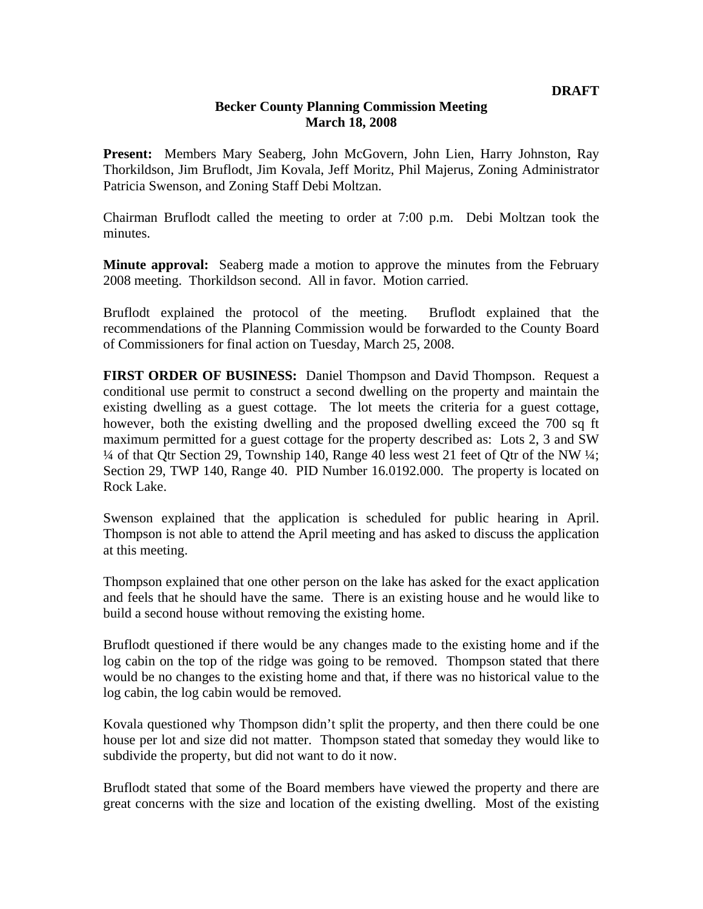## **Becker County Planning Commission Meeting March 18, 2008**

**Present:** Members Mary Seaberg, John McGovern, John Lien, Harry Johnston, Ray Thorkildson, Jim Bruflodt, Jim Kovala, Jeff Moritz, Phil Majerus, Zoning Administrator Patricia Swenson, and Zoning Staff Debi Moltzan.

Chairman Bruflodt called the meeting to order at 7:00 p.m. Debi Moltzan took the minutes.

**Minute approval:** Seaberg made a motion to approve the minutes from the February 2008 meeting. Thorkildson second. All in favor. Motion carried.

Bruflodt explained the protocol of the meeting. Bruflodt explained that the recommendations of the Planning Commission would be forwarded to the County Board of Commissioners for final action on Tuesday, March 25, 2008.

**FIRST ORDER OF BUSINESS:** Daniel Thompson and David Thompson. Request a conditional use permit to construct a second dwelling on the property and maintain the existing dwelling as a guest cottage. The lot meets the criteria for a guest cottage, however, both the existing dwelling and the proposed dwelling exceed the 700 sq ft maximum permitted for a guest cottage for the property described as: Lots 2, 3 and SW  $\frac{1}{4}$  of that Qtr Section 29, Township 140, Range 40 less west 21 feet of Qtr of the NW  $\frac{1}{4}$ ; Section 29, TWP 140, Range 40. PID Number 16.0192.000. The property is located on Rock Lake.

Swenson explained that the application is scheduled for public hearing in April. Thompson is not able to attend the April meeting and has asked to discuss the application at this meeting.

Thompson explained that one other person on the lake has asked for the exact application and feels that he should have the same. There is an existing house and he would like to build a second house without removing the existing home.

Bruflodt questioned if there would be any changes made to the existing home and if the log cabin on the top of the ridge was going to be removed. Thompson stated that there would be no changes to the existing home and that, if there was no historical value to the log cabin, the log cabin would be removed.

Kovala questioned why Thompson didn't split the property, and then there could be one house per lot and size did not matter. Thompson stated that someday they would like to subdivide the property, but did not want to do it now.

Bruflodt stated that some of the Board members have viewed the property and there are great concerns with the size and location of the existing dwelling. Most of the existing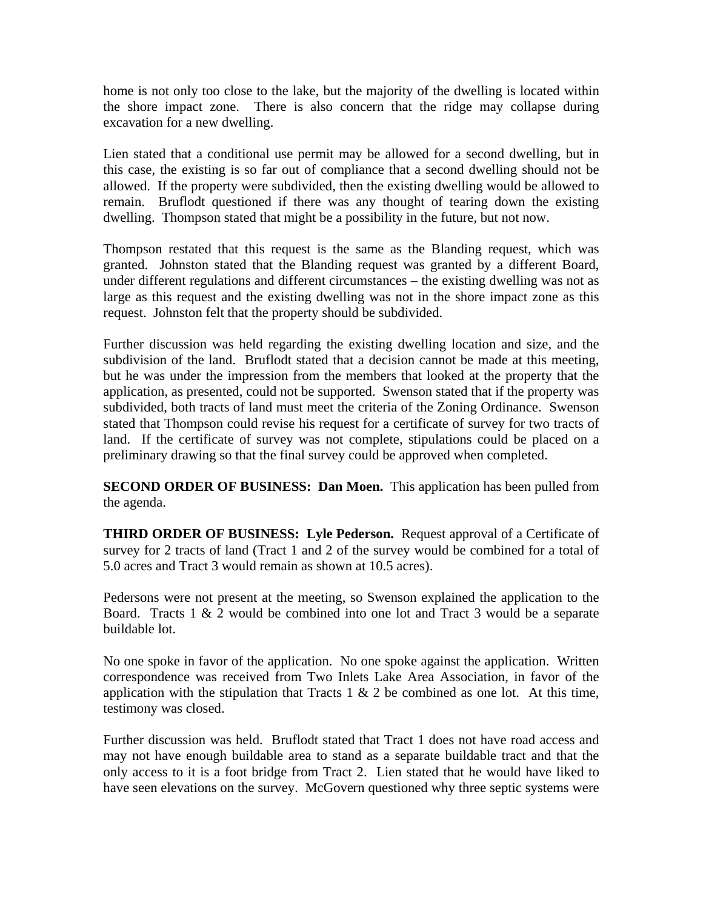home is not only too close to the lake, but the majority of the dwelling is located within the shore impact zone. There is also concern that the ridge may collapse during excavation for a new dwelling.

Lien stated that a conditional use permit may be allowed for a second dwelling, but in this case, the existing is so far out of compliance that a second dwelling should not be allowed. If the property were subdivided, then the existing dwelling would be allowed to remain. Bruflodt questioned if there was any thought of tearing down the existing dwelling. Thompson stated that might be a possibility in the future, but not now.

Thompson restated that this request is the same as the Blanding request, which was granted. Johnston stated that the Blanding request was granted by a different Board, under different regulations and different circumstances – the existing dwelling was not as large as this request and the existing dwelling was not in the shore impact zone as this request. Johnston felt that the property should be subdivided.

Further discussion was held regarding the existing dwelling location and size, and the subdivision of the land. Bruflodt stated that a decision cannot be made at this meeting, but he was under the impression from the members that looked at the property that the application, as presented, could not be supported. Swenson stated that if the property was subdivided, both tracts of land must meet the criteria of the Zoning Ordinance. Swenson stated that Thompson could revise his request for a certificate of survey for two tracts of land. If the certificate of survey was not complete, stipulations could be placed on a preliminary drawing so that the final survey could be approved when completed.

**SECOND ORDER OF BUSINESS: Dan Moen.** This application has been pulled from the agenda.

**THIRD ORDER OF BUSINESS: Lyle Pederson.** Request approval of a Certificate of survey for 2 tracts of land (Tract 1 and 2 of the survey would be combined for a total of 5.0 acres and Tract 3 would remain as shown at 10.5 acres).

Pedersons were not present at the meeting, so Swenson explained the application to the Board. Tracts  $1 \& 2$  would be combined into one lot and Tract 3 would be a separate buildable lot.

No one spoke in favor of the application. No one spoke against the application. Written correspondence was received from Two Inlets Lake Area Association, in favor of the application with the stipulation that Tracts 1  $\&$  2 be combined as one lot. At this time, testimony was closed.

Further discussion was held. Bruflodt stated that Tract 1 does not have road access and may not have enough buildable area to stand as a separate buildable tract and that the only access to it is a foot bridge from Tract 2. Lien stated that he would have liked to have seen elevations on the survey. McGovern questioned why three septic systems were